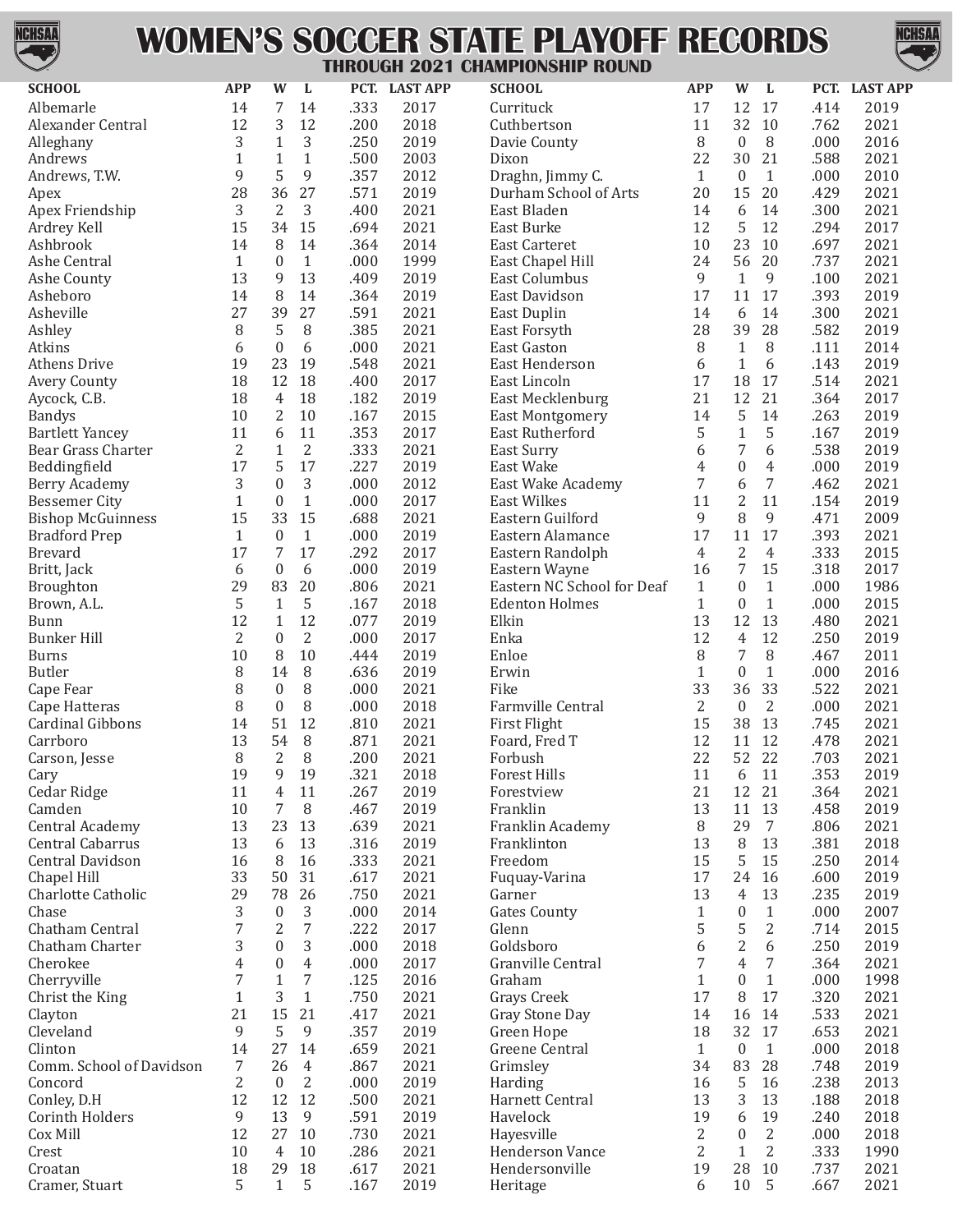

## **WOMEN'S SOCCER STATE PLAYOFF RECORDS THROUGH 2021 CHAMPIONSHIP ROUND**



| <b>SCHOOL</b>                   | <b>APP</b>     | W                     | L              | PCT.         | <b>LAST APP</b> | <b>SCHOOL</b>                      | <b>APP</b>     | W                            | L              |              | PCT. LAST APP |
|---------------------------------|----------------|-----------------------|----------------|--------------|-----------------|------------------------------------|----------------|------------------------------|----------------|--------------|---------------|
| Albemarle                       | 14             | 7                     | 14             | .333         | 2017            | Currituck                          | 17             | 12                           | 17             | .414         | 2019          |
| Alexander Central               | 12             | 3                     | 12             | .200         | 2018            | Cuthbertson                        | 11             | 32                           | 10             | .762         | 2021          |
| Alleghany                       | 3              | $\mathbf{1}$          | 3              | .250         | 2019            | Davie County                       | 8              | $\mathbf{0}$                 | 8              | .000         | 2016          |
| Andrews                         | $\mathbf{1}$   | $\mathbf 1$           | $\mathbf{1}$   | .500         | 2003            | Dixon                              | 22             | 30                           | 21             | .588         | 2021          |
| Andrews, T.W.                   | 9              | 5                     | 9              | .357         | 2012            | Draghn, Jimmy C.                   | $\mathbf{1}$   | $\boldsymbol{0}$             | $\mathbf{1}$   | .000         | 2010          |
| Apex                            | 28             | 36                    | 27             | .571         | 2019            | Durham School of Arts              | 20             | 15                           | 20             | .429         | 2021          |
| Apex Friendship                 | 3              | $\overline{2}$        | 3              | .400         | 2021            | East Bladen                        | 14             | 6                            | 14             | .300         | 2021          |
| Ardrey Kell                     | 15             | 34                    | 15             | .694         | 2021            | East Burke                         | 12             | 5                            | 12             | .294         | 2017          |
| Ashbrook                        | 14             | 8                     | 14             | .364         | 2014            | <b>East Carteret</b>               | 10             | 23                           | 10             | .697         | 2021          |
| Ashe Central                    | $\mathbf{1}$   | $\boldsymbol{0}$      | $\mathbf{1}$   | .000         | 1999            | East Chapel Hill                   | 24             | 56                           | 20             | .737         | 2021          |
| Ashe County                     | 13             | 9                     | 13             | .409         | 2019            | East Columbus                      | 9              | $\mathbf{1}$                 | 9              | .100         | 2021          |
| Asheboro                        | 14             | 8                     | 14             | .364         | 2019            | East Davidson                      | 17             | 11                           | 17             | .393         | 2019          |
| Asheville                       | 27             | 39                    | 27             | .591         | 2021            | East Duplin                        | 14             | 6                            | 14             | .300         | 2021          |
| Ashley<br>Atkins                | 8<br>6         | 5<br>$\boldsymbol{0}$ | 8<br>6         | .385<br>.000 | 2021<br>2021    | East Forsyth<br><b>East Gaston</b> | 28<br>8        | 39                           | 28             | .582<br>.111 | 2019<br>2014  |
| <b>Athens Drive</b>             | 19             | 23                    | 19             | .548         | 2021            | East Henderson                     | 6              | $\mathbf{1}$<br>$\mathbf{1}$ | 8<br>6         | .143         | 2019          |
| Avery County                    | 18             | 12                    | 18             | .400         | 2017            | East Lincoln                       | 17             | 18                           | 17             | .514         | 2021          |
| Aycock, C.B.                    | 18             | $\overline{4}$        | 18             | .182         | 2019            | East Mecklenburg                   | 21             | 12                           | 21             | .364         | 2017          |
| <b>Bandys</b>                   | 10             | $\overline{2}$        | 10             | .167         | 2015            | <b>East Montgomery</b>             | 14             | 5                            | 14             | .263         | 2019          |
| <b>Bartlett Yancey</b>          | 11             | 6                     | 11             | .353         | 2017            | <b>East Rutherford</b>             | 5              | $\mathbf{1}$                 | 5              | .167         | 2019          |
| Bear Grass Charter              | $\overline{2}$ | $\mathbf{1}$          | $\overline{2}$ | .333         | 2021            | East Surry                         | 6              | 7                            | 6              | .538         | 2019          |
| Beddingfield                    | 17             | 5                     | 17             | .227         | 2019            | East Wake                          | 4              | $\boldsymbol{0}$             | $\overline{4}$ | .000         | 2019          |
| Berry Academy                   | 3              | $\boldsymbol{0}$      | 3              | .000         | 2012            | East Wake Academy                  | 7              | 6                            | 7              | .462         | 2021          |
| <b>Bessemer City</b>            | $\mathbf{1}$   | $\boldsymbol{0}$      | $\mathbf{1}$   | .000         | 2017            | <b>East Wilkes</b>                 | 11             | $\overline{2}$               | 11             | .154         | 2019          |
| <b>Bishop McGuinness</b>        | 15             | 33                    | 15             | .688         | 2021            | Eastern Guilford                   | 9              | 8                            | 9              | .471         | 2009          |
| <b>Bradford Prep</b>            | 1              | $\boldsymbol{0}$      | $\mathbf{1}$   | .000         | 2019            | Eastern Alamance                   | 17             | 11                           | 17             | .393         | 2021          |
| <b>Brevard</b>                  | 17             | 7                     | 17             | .292         | 2017            | Eastern Randolph                   | 4              | $\overline{2}$               | 4              | .333         | 2015          |
| Britt, Jack                     | 6              | $\boldsymbol{0}$      | 6              | .000         | 2019            | Eastern Wayne                      | 16             | 7                            | 15             | .318         | 2017          |
| Broughton                       | 29             | 83                    | 20             | .806         | 2021            | Eastern NC School for Deaf         | $\mathbf{1}$   | $\boldsymbol{0}$             | $\mathbf{1}$   | .000         | 1986          |
| Brown, A.L.                     | 5              | $\mathbf{1}$          | 5              | .167         | 2018            | <b>Edenton Holmes</b>              | $\mathbf{1}$   | $\boldsymbol{0}$             | $\mathbf{1}$   | .000         | 2015          |
| Bunn                            | 12             | $\mathbf{1}$          | 12             | .077         | 2019            | Elkin                              | 13             | 12                           | 13             | .480         | 2021          |
| <b>Bunker Hill</b>              | 2              | $\boldsymbol{0}$      | $\overline{2}$ | .000         | 2017            | Enka                               | 12             | $\overline{4}$               | 12             | .250         | 2019          |
| Burns                           | 10             | 8                     | 10             | .444         | 2019            | Enloe                              | 8              | 7                            | 8              | .467         | 2011          |
| Butler                          | 8              | 14                    | 8              | .636         | 2019            | Erwin                              | $\mathbf{1}$   | $\boldsymbol{0}$             | $\mathbf{1}$   | .000         | 2016          |
| Cape Fear                       | 8              | $\boldsymbol{0}$      | 8              | .000         | 2021            | Fike                               | 33             | 36                           | 33             | .522         | 2021          |
| Cape Hatteras                   | 8              | $\boldsymbol{0}$      | 8              | .000         | 2018            | <b>Farmville Central</b>           | $\overline{2}$ | $\boldsymbol{0}$             | $\overline{2}$ | .000         | 2021          |
| Cardinal Gibbons                | 14             | 51                    | 12             | .810         | 2021            | First Flight                       | 15             | 38                           | 13             | .745         | 2021          |
| Carrboro                        | 13             | 54                    | $\, 8$         | .871         | 2021            | Foard, Fred T                      | 12             | 11                           | 12             | .478         | 2021          |
| Carson, Jesse                   | 8              | 2                     | 8              | .200         | 2021            | Forbush                            | 22             | 52                           | 22             | .703         | 2021          |
| Cary                            | 19             | $\overline{9}$        | 19             | .321         | 2018            | <b>Forest Hills</b>                | 11             | 6                            | 11             | .353         | 2019          |
| Cedar Ridge                     | 11             | $\overline{4}$        | 11             | .267         | 2019            | Forestview                         | 21             | 12                           | 21             | .364         | 2021          |
| Camden                          | 10             | 7                     | 8              | .467         | 2019            | Franklin                           | 13             | 11                           | 13             | .458         | 2019          |
| Central Academy                 | 13             | 23                    | 13             | .639         | 2021            | Franklin Academy                   | 8              | 29                           | $\overline{7}$ | .806         | 2021          |
| Central Cabarrus                | 13             | 6                     | 13             | .316         | 2019            | Franklinton                        | 13<br>15       | 8                            | 13             | .381         | 2018          |
| Central Davidson<br>Chapel Hill | 16<br>33       | 8<br>50               | 16<br>31       | .333<br>.617 | 2021<br>2021    | Freedom                            | 17             | 5<br>24                      | 15<br>16       | .250<br>.600 | 2014<br>2019  |
| Charlotte Catholic              | 29             | 78                    | 26             | .750         | 2021            | Fuquay-Varina<br>Garner            | 13             | 4                            | 13             | .235         | 2019          |
| Chase                           | 3              | $\mathbf{0}$          | 3              | .000         | 2014            | <b>Gates County</b>                | $\mathbf{1}$   | $\theta$                     | $\mathbf{1}$   | .000         | 2007          |
| Chatham Central                 | 7              | $\overline{2}$        | 7              | .222         | 2017            | Glenn                              | 5              | 5                            | $\overline{2}$ | .714         | 2015          |
| Chatham Charter                 | 3              | $\boldsymbol{0}$      | 3              | .000         | 2018            | Goldsboro                          | 6              | $\overline{2}$               | 6              | .250         | 2019          |
| Cherokee                        | 4              | $\mathbf{0}$          | 4              | .000         | 2017            | Granville Central                  | 7              | $\overline{4}$               | 7              | .364         | 2021          |
| Cherryville                     | 7              | $\mathbf{1}$          | 7              | .125         | 2016            | Graham                             | $\mathbf{1}$   | $\boldsymbol{0}$             | $\mathbf{1}$   | .000         | 1998          |
| Christ the King                 | $\mathbf{1}$   | 3                     | $\mathbf{1}$   | .750         | 2021            | Grays Creek                        | 17             | 8                            | 17             | .320         | 2021          |
| Clayton                         | 21             | 15                    | 21             | .417         | 2021            | Gray Stone Day                     | 14             | 16                           | 14             | .533         | 2021          |
| Cleveland                       | 9              | 5                     | 9              | .357         | 2019            | Green Hope                         | 18             | 32                           | 17             | .653         | 2021          |
| Clinton                         | 14             | 27                    | 14             | .659         | 2021            | Greene Central                     | $\mathbf{1}$   | $\boldsymbol{0}$             | $\mathbf{1}$   | .000         | 2018          |
| Comm. School of Davidson        | 7              | 26                    | $\overline{4}$ | .867         | 2021            | Grimsley                           | 34             | 83                           | 28             | .748         | 2019          |
| Concord                         | $\overline{2}$ | $\mathbf{0}$          | 2              | .000         | 2019            | Harding                            | 16             | 5                            | 16             | .238         | 2013          |
| Conley, D.H                     | 12             | 12                    | 12             | .500         | 2021            | Harnett Central                    | 13             | 3                            | 13             | .188         | 2018          |
| Corinth Holders                 | 9              | 13                    | $\overline{9}$ | .591         | 2019            | Havelock                           | 19             | 6                            | 19             | .240         | 2018          |
| Cox Mill                        | 12             | 27                    | 10             | .730         | 2021            | Hayesville                         | 2              | $\boldsymbol{0}$             | $\overline{2}$ | .000         | 2018          |
| Crest                           | 10             | 4                     | 10             | .286         | 2021            | Henderson Vance                    | 2              | $\mathbf{1}$                 | $\overline{2}$ | .333         | 1990          |
| Croatan                         | 18             | 29                    | 18             | .617         | 2021            | Hendersonville                     | 19             | 28                           | 10             | .737         | 2021          |
| Cramer, Stuart                  | 5              | $\mathbf{1}$          | 5              | .167         | 2019            | Heritage                           | 6              | 10                           | 5              | .667         | 2021          |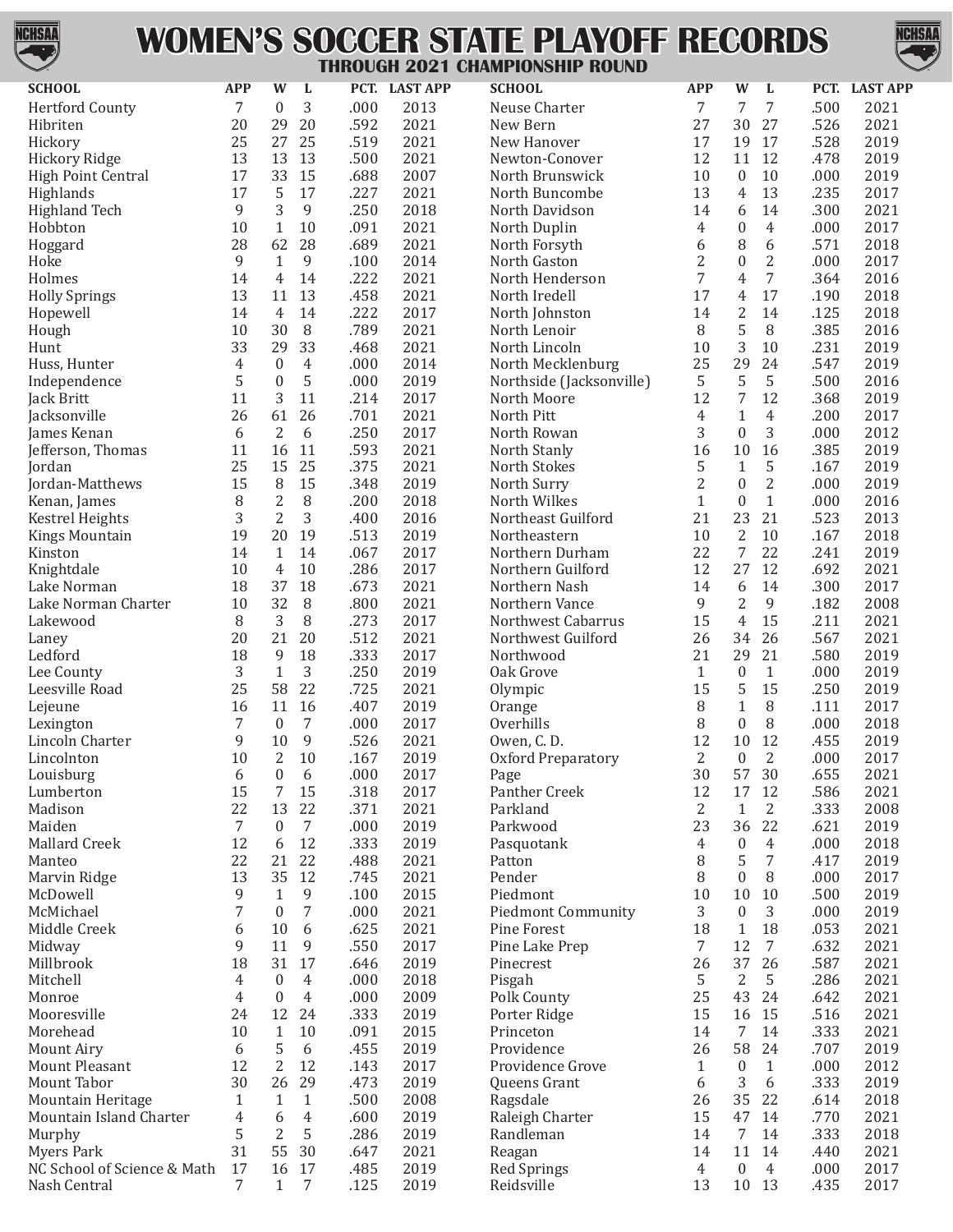

## **WOMEN'S SOCCER STATE PLAYOFF RECORDS THROUGH 2021 CHAMPIONSHIP ROUND**



| <b>SCHOOL</b>               | <b>APP</b> | W                | L              | PCT.         | <b>LAST APP</b> | <b>SCHOOL</b>                            | <b>APP</b>     | W                   | L                    |              | PCT. LAST APP |
|-----------------------------|------------|------------------|----------------|--------------|-----------------|------------------------------------------|----------------|---------------------|----------------------|--------------|---------------|
| <b>Hertford County</b>      | 7          | $\mathbf{0}$     | 3              | .000         | 2013            | Neuse Charter                            | 7              | 7                   | 7                    | .500         | 2021          |
| Hibriten                    | 20         | 29               | 20             | .592         | 2021            | New Bern                                 | 27             | 30                  | 27                   | .526         | 2021          |
| Hickory                     | 25         | 27               | 25             | .519         | 2021            | New Hanover                              | 17             | 19                  | 17                   | .528         | 2019          |
| <b>Hickory Ridge</b>        | 13         | 13               | 13             | .500         | 2021            | Newton-Conover                           | 12             | 11                  | 12                   | .478         | 2019          |
| High Point Central          | 17         | 33               | 15             | .688         | 2007            | North Brunswick                          | 10             | $\boldsymbol{0}$    | 10                   | .000         | 2019          |
| Highlands                   | 17         | 5                | 17             | .227         | 2021            | North Buncombe                           | 13             | 4                   | 13                   | .235         | 2017          |
| <b>Highland Tech</b>        | 9          | 3                | 9              | .250         | 2018            | North Davidson                           | 14             | 6                   | 14                   | .300         | 2021          |
| Hobbton                     | 10         | $\mathbf{1}$     | 10             | .091         | 2021            | North Duplin                             | 4              | $\boldsymbol{0}$    | $\overline{4}$       | .000         | 2017          |
| Hoggard                     | 28         | 62               | 28             | .689         | 2021            | North Forsyth                            | 6              | 8                   | 6                    | .571         | 2018          |
| Hoke                        | 9          | $\mathbf{1}$     | 9              | .100         | 2014            | North Gaston                             | 2              | $\boldsymbol{0}$    | $\overline{2}$       | .000         | 2017          |
| Holmes                      | 14         | $\overline{4}$   | 14             | .222         | 2021            | North Henderson                          | 7              | $\overline{4}$      | 7                    | .364         | 2016          |
| <b>Holly Springs</b>        | 13         | 11               | 13             | .458         | 2021            | North Iredell                            | 17             | 4                   | 17                   | .190         | 2018          |
| Hopewell                    | 14         | $\overline{4}$   | 14             | .222         | 2017            | North Johnston                           | 14             | $\overline{2}$      | 14                   | .125         | 2018          |
| Hough                       | 10         | 30               | 8              | .789         | 2021            | North Lenoir                             | 8              | 5                   | $\, 8$               | .385         | 2016          |
| Hunt                        | 33         | 29               | 33             | .468         | 2021            | North Lincoln                            | 10             | 3                   | 10                   | .231         | 2019          |
| Huss, Hunter                | 4          | $\boldsymbol{0}$ | $\overline{4}$ | .000         | 2014            | North Mecklenburg                        | 25             | 29                  | 24                   | .547         | 2019          |
| Independence                | 5          | $\boldsymbol{0}$ | 5              | .000         | 2019            | Northside (Jacksonville)                 | 5              | 5                   | 5                    | .500         | 2016          |
| Jack Britt                  | 11         | 3                | 11             | .214         | 2017            | North Moore                              | 12             | $\overline{7}$      | 12                   | .368         | 2019          |
| Jacksonville                | 26         | 61               | 26             | .701         | 2021            | North Pitt                               | 4              | $\mathbf{1}$        | $\overline{4}$       | .200         | 2017          |
| James Kenan                 | 6          | $\overline{2}$   | 6              | .250         | 2017            | North Rowan                              | 3              | $\mathbf{0}$        | 3                    | .000         | 2012          |
| Jefferson, Thomas           | 11         | 16               | 11             | .593         | 2021            | North Stanly                             | 16             | 10                  | 16                   | .385         | 2019          |
| Jordan                      | 25         | 15               | 25             | .375         | 2021            | North Stokes                             | 5              | $\mathbf{1}$        | 5                    | .167         | 2019          |
| Jordan-Matthews             | 15         | 8                | 15             | .348         | 2019            | North Surry                              | 2              | $\boldsymbol{0}$    | $\overline{2}$       | .000         | 2019          |
| Kenan, James                | 8          | $\sqrt{2}$       | 8              | .200         | 2018            | North Wilkes                             | $\mathbf{1}$   | $\boldsymbol{0}$    | $\mathbf{1}$         | .000         | 2016          |
| <b>Kestrel Heights</b>      | 3          | $\overline{2}$   | 3              | .400         | 2016            | Northeast Guilford                       | 21             | 23                  | 21                   | .523         | 2013          |
| <b>Kings Mountain</b>       | 19         | 20               | 19             | .513         | 2019            | Northeastern                             | 10             | $\overline{2}$      | 10                   | .167         | 2018          |
| Kinston                     | 14         | $\mathbf{1}$     | 14             | .067         | 2017            | Northern Durham                          | 22             | 7                   | 22                   | .241         | 2019          |
| Knightdale                  | 10         | $\overline{4}$   | 10             | .286         | 2017            | Northern Guilford                        | 12             | 27                  | 12                   | .692         | 2021          |
| Lake Norman                 | 18         | 37               | 18             | .673         | 2021            | Northern Nash                            | 14             | 6<br>$\overline{2}$ | 14<br>$\overline{9}$ | .300         | 2017          |
| Lake Norman Charter         | 10         | 32<br>3          | 8<br>8         | .800         | 2021<br>2017    | Northern Vance                           | 9              |                     | 15                   | .182<br>.211 | 2008<br>2021  |
| Lakewood                    | 8<br>20    | 21               | 20             | .273<br>.512 | 2021            | Northwest Cabarrus<br>Northwest Guilford | 15<br>26       | 4<br>34             | 26                   | .567         | 2021          |
| Laney<br>Ledford            | 18         | 9                | 18             | .333         | 2017            | Northwood                                | 21             | 29                  | 21                   | .580         | 2019          |
| Lee County                  | 3          | $\mathbf{1}$     | 3              | .250         | 2019            | Oak Grove                                | $\mathbf{1}$   | $\boldsymbol{0}$    | $\mathbf{1}$         | .000         | 2019          |
| Leesville Road              | 25         | 58               | 22             | .725         | 2021            | Olympic                                  | 15             | 5                   | 15                   | .250         | 2019          |
| Lejeune                     | 16         | 11               | 16             | .407         | 2019            | Orange                                   | 8              | $\mathbf{1}$        | 8                    | .111         | 2017          |
| Lexington                   | 7          | $\mathbf{0}$     | 7              | .000         | 2017            | Overhills                                | 8              | $\boldsymbol{0}$    | 8                    | .000         | 2018          |
| Lincoln Charter             | 9          | 10               | 9              | .526         | 2021            | Owen, C.D.                               | 12             | 10                  | 12                   | .455         | 2019          |
| Lincolnton                  | 10         | 2                | 10             | .167         | 2019            | <b>Oxford Preparatory</b>                | 2              | $\boldsymbol{0}$    | 2                    | .000         | 2017          |
| Louisburg                   | 6          | $\boldsymbol{0}$ | 6              | .000         | 2017            | Page                                     | 30             | 57                  | 30                   | .655         | 2021          |
| Lumberton                   | 15         | 7                | 15             | .318         | 2017            | Panther Creek                            | 12             | 17                  | 12                   | .586         | 2021          |
| Madison                     | 22         | 13               | 22             | .371         | 2021            | Parkland                                 | $\mathbf{2}$   | $\mathbf{1}$        | 2                    | .333         | 2008          |
| Maiden                      | 7          | $\mathbf{0}$     | 7              | .000         | 2019            | Parkwood                                 | 23             | 36                  | 22                   | .621         | 2019          |
| <b>Mallard Creek</b>        | 12         | 6                | 12             | .333         | 2019            | Pasquotank                               | 4              | $\boldsymbol{0}$    | $\overline{4}$       | .000         | 2018          |
| Manteo                      | 22         | 21               | 22             | .488         | 2021            | Patton                                   | 8              | 5                   | 7                    | .417         | 2019          |
| Marvin Ridge                | 13         | 35               | 12             | .745         | 2021            | Pender                                   | 8              | $\boldsymbol{0}$    | 8                    | .000         | 2017          |
| McDowell                    | 9          | $\mathbf{1}$     | 9              | .100         | 2015            | Piedmont                                 | 10             | 10                  | 10                   | .500         | 2019          |
| McMichael                   | 7          | $\theta$         | 7              | .000         | 2021            | <b>Piedmont Community</b>                | 3              | $\boldsymbol{0}$    | 3                    | .000         | 2019          |
| Middle Creek                | 6          | 10               | 6              | .625         | 2021            | Pine Forest                              | 18             | $\mathbf{1}$        | 18                   | .053         | 2021          |
| Midway                      | 9          | 11               | 9              | .550         | 2017            | Pine Lake Prep                           | 7              | 12                  | 7                    | .632         | 2021          |
| Millbrook                   | 18         | 31               | 17             | .646         | 2019            | Pinecrest                                | 26             | 37                  | 26                   | .587         | 2021          |
| Mitchell                    | 4          | $\boldsymbol{0}$ | 4              | .000         | 2018            | Pisgah                                   | 5              | $\overline{2}$      | 5                    | .286         | 2021          |
| Monroe                      | 4          | $\boldsymbol{0}$ | $\overline{4}$ | .000         | 2009            | Polk County                              | 25             | 43                  | 24                   | .642         | 2021          |
| Mooresville                 | 24         | 12               | 24             | .333         | 2019            | Porter Ridge                             | 15             | 16                  | 15                   | .516         | 2021          |
| Morehead                    | 10         | $\mathbf{1}$     | 10             | .091         | 2015            | Princeton                                | 14             | $\overline{7}$      | 14                   | .333         | 2021          |
| Mount Airy                  | 6          | 5                | 6              | .455         | 2019            | Providence                               | 26             | 58                  | 24                   | .707         | 2019          |
| <b>Mount Pleasant</b>       | 12         | $\overline{2}$   | 12             | .143         | 2017            | Providence Grove                         | 1              | $\boldsymbol{0}$    | 1                    | .000         | 2012          |
| Mount Tabor                 | 30         | 26               | 29             | .473         | 2019            | Queens Grant                             | 6              | 3                   | 6                    | .333         | 2019          |
| <b>Mountain Heritage</b>    | 1          | $\mathbf{1}$     | $\mathbf{1}$   | .500         | 2008            | Ragsdale                                 | 26             | 35                  | 22                   | .614         | 2018          |
| Mountain Island Charter     | 4          | 6                | 4              | .600         | 2019            | Raleigh Charter                          | 15             | 47                  | 14                   | .770         | 2021          |
| Murphy                      | 5          | $\overline{2}$   | 5              | .286         | 2019            | Randleman                                | 14             | 7                   | 14                   | .333         | 2018          |
| <b>Myers Park</b>           | 31         | 55               | 30             | .647         | 2021            | Reagan                                   | 14             | 11                  | 14                   | .440         | 2021          |
| NC School of Science & Math | 17         | 16               | 17             | .485         | 2019            | Red Springs                              | $\overline{4}$ | $\boldsymbol{0}$    | $\overline{4}$       | .000         | 2017          |
| Nash Central                | 7          | $\mathbf{1}$     | 7              | .125         | 2019            | Reidsville                               | 13             | 10                  | 13                   | .435         | 2017          |